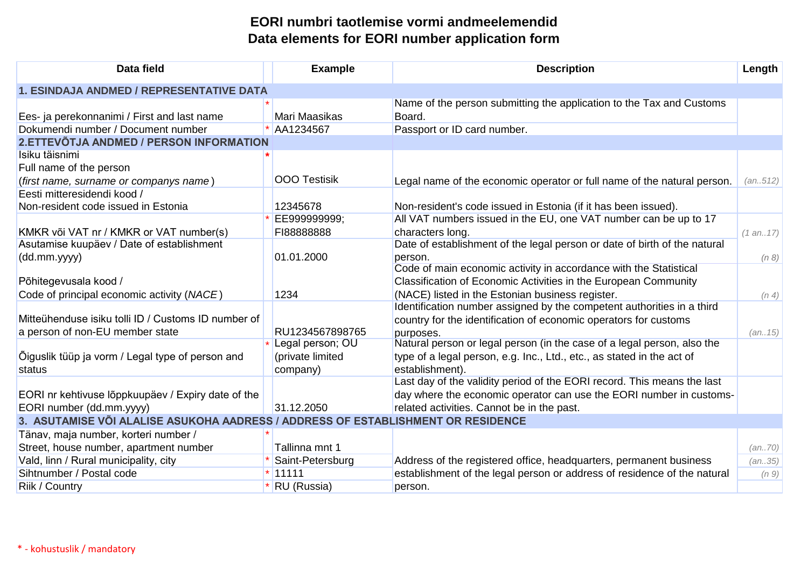## **EORI numbri taotlemise vormi andmeelemendid Data elements for EORI number application form**

| Data field                                                                       | <b>Example</b>      | <b>Description</b>                                                        | Length     |  |  |
|----------------------------------------------------------------------------------|---------------------|---------------------------------------------------------------------------|------------|--|--|
| 1. ESINDAJA ANDMED / REPRESENTATIVE DATA                                         |                     |                                                                           |            |  |  |
|                                                                                  |                     | Name of the person submitting the application to the Tax and Customs      |            |  |  |
| Ees- ja perekonnanimi / First and last name                                      | Mari Maasikas       | Board.                                                                    |            |  |  |
| Dokumendi number / Document number                                               | AA1234567           | Passport or ID card number.                                               |            |  |  |
| 2. ETTEVÕTJA ANDMED / PERSON INFORMATION                                         |                     |                                                                           |            |  |  |
| Isiku täisnimi                                                                   |                     |                                                                           |            |  |  |
| Full name of the person                                                          |                     |                                                                           |            |  |  |
| (first name, surname or companys name)                                           | <b>OOO Testisik</b> | Legal name of the economic operator or full name of the natural person.   | (an.512)   |  |  |
| Eesti mitteresidendi kood /                                                      |                     |                                                                           |            |  |  |
| Non-resident code issued in Estonia                                              | 12345678            | Non-resident's code issued in Estonia (if it has been issued).            |            |  |  |
|                                                                                  | EE999999999;        | All VAT numbers issued in the EU, one VAT number can be up to 17          |            |  |  |
| KMKR või VAT nr / KMKR or VAT number(s)                                          | FI88888888          | characters long.                                                          | (1 an. 17) |  |  |
| Asutamise kuupäev / Date of establishment                                        |                     | Date of establishment of the legal person or date of birth of the natural |            |  |  |
| (dd.mm.yyyy)                                                                     | 01.01.2000          | person.                                                                   | (n 8)      |  |  |
|                                                                                  |                     | Code of main economic activity in accordance with the Statistical         |            |  |  |
| Põhitegevusala kood /                                                            |                     | Classification of Economic Activities in the European Community           |            |  |  |
| Code of principal economic activity (NACE)                                       | 1234                | (NACE) listed in the Estonian business register.                          | (n, 4)     |  |  |
|                                                                                  |                     | Identification number assigned by the competent authorities in a third    |            |  |  |
| Mitteühenduse isiku tolli ID / Customs ID number of                              |                     | country for the identification of economic operators for customs          |            |  |  |
| a person of non-EU member state                                                  | RU1234567898765     | purposes.                                                                 | (an 15)    |  |  |
|                                                                                  | Legal person; OU    | Natural person or legal person (in the case of a legal person, also the   |            |  |  |
| Õiguslik tüüp ja vorm / Legal type of person and                                 | (private limited    | type of a legal person, e.g. Inc., Ltd., etc., as stated in the act of    |            |  |  |
| status                                                                           | company)            | establishment).                                                           |            |  |  |
|                                                                                  |                     | Last day of the validity period of the EORI record. This means the last   |            |  |  |
| EORI nr kehtivuse lõppkuupäev / Expiry date of the                               |                     | day where the economic operator can use the EORI number in customs-       |            |  |  |
| EORI number (dd.mm.yyyy)                                                         | 31.12.2050          | related activities. Cannot be in the past.                                |            |  |  |
| 3. ASUTAMISE VÕI ALALISE ASUKOHA AADRESS / ADDRESS OF ESTABLISHMENT OR RESIDENCE |                     |                                                                           |            |  |  |
| Tänav, maja number, korteri number /                                             |                     |                                                                           |            |  |  |
| Street, house number, apartment number                                           | Tallinna mnt 1      |                                                                           | (an70)     |  |  |
| Vald, linn / Rural municipality, city                                            | Saint-Petersburg    | Address of the registered office, headquarters, permanent business        | (an35)     |  |  |
| Sihtnumber / Postal code                                                         | $*$ 11111           | establishment of the legal person or address of residence of the natural  | (n 9)      |  |  |
| Riik / Country                                                                   | RU (Russia)         | person.                                                                   |            |  |  |